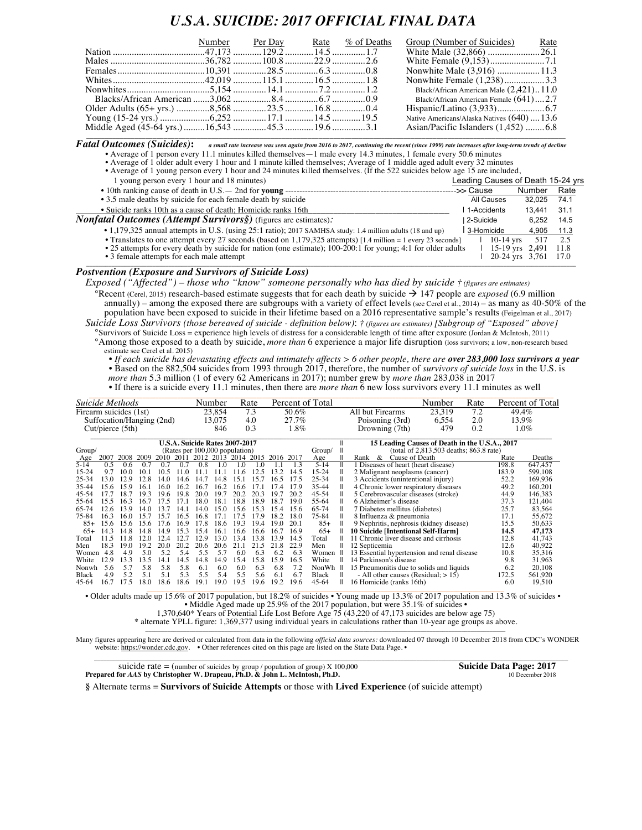## *U.S.A. SUICIDE: 2017 OFFICIAL FINAL DATA*

|  | Number Per Day Rate % of Deaths |  | Group (Number of Suicides) Rate             |
|--|---------------------------------|--|---------------------------------------------|
|  |                                 |  |                                             |
|  |                                 |  |                                             |
|  |                                 |  | Nonwhite Male (3,916) 11.3                  |
|  |                                 |  | Nonwhite Female (1,238)3.3                  |
|  |                                 |  | Black/African American Male (2,421)11.0     |
|  |                                 |  | Black/African American Female (641)2.7      |
|  |                                 |  |                                             |
|  |                                 |  | Native Americans/Alaska Natives (640)  13.6 |
|  |                                 |  | Asian/Pacific Islanders (1,452) 6.8         |

 $\bm{\mathit{Fatal~Outcomes~(Suicides):}}$  a small rate increase was seen again from 2016 to 2017, continuing the recent (since 1999) rate increases after long-term trends of decline • Average of 1 person every 11.1 minutes killed themselves—1 male every 14.3 minutes, 1 female every 50.6 minutes

• Average of 1 older adult every 1 hour and 1 minute killed themselves; Average of 1 middle aged adult every 32 minutes

| • Average of 1 young person every 1 hour and 24 minutes killed themselves. (If the 522 suicides below age 15 are included, |                                   |                      |      |
|----------------------------------------------------------------------------------------------------------------------------|-----------------------------------|----------------------|------|
| 1 young person every 1 hour and 18 minutes)                                                                                | Leading Causes of Death 15-24 yrs |                      |      |
|                                                                                                                            | -->> Cause                        | Number               | Rate |
| • 3.5 male deaths by suicide for each female death by suicide                                                              | All Causes                        | 32.025               | 74.1 |
| • Suicide ranks 10th as a cause of death: Homicide ranks 16th                                                              | 1-Accidents                       | 13.441               | 31.1 |
| <b>Nonfatal Outcomes (Attempt Survivors §)</b> (figures are estimates).                                                    | l 2-Suicide                       | 6.252                | 14.5 |
| • 1,179,325 annual attempts in U.S. (using 25:1 ratio); 2017 SAMHSA study: 1.4 million adults (18 and up)                  | 3-Homicide                        | 4.905                | 11.3 |
| • Translates to one attempt every 27 seconds (based on $1,179,325$ attempts) [1.4 million = 1 every 23 seconds]            | $10-14$ vrs                       | 517                  | 2.5  |
| • 25 attempts for every death by suicide for nation (one estimate); 100-200:1 for young; 4:1 for older adults              |                                   | 15-19 yrs 2,491      | 11.8 |
| • 3 female attempts for each male attempt                                                                                  |                                   | 20-24 yrs 3,761 17.0 |      |
|                                                                                                                            |                                   |                      |      |

## *Postvention (Exposure and Survivors of Suicide Loss)*

*Exposed ("Affected") – those who "know" someone personally who has died by suicide † (figures are estimates)* °Recent (Cerel, 2015) research-based estimate suggests that for each death by suicide à 147 people are *exposed* (6.9 million annually) – among the exposed there are subgroups with a variety of effect levels(see Cerel et al., 2014) – as many as 40-50% of the population have been exposed to suicide in their lifetime based on a 2016 representative sample's results (Feigelman et al., 2017)

*Suicide Loss Survivors (those bereaved of suicide - definition below)*: *† (figures are estimates) [Subgroup of "Exposed" above]* °Survivors of Suicide Loss = experience high levels of distress for a considerable length of time after exposure (Jordan & McIntosh, 2011)

°Among those exposed to a death by suicide, *more than* 6 experience a major life disruption (loss survivors; a low, non-research based estimate see Cerel et al. 2015)

• *If each suicide has devastating effects and intimately affects > 6 other people, there are over 283,000 loss survivors a year* • Based on the 882,504 suicides from 1993 through 2017, therefore, the number of *survivors of suicide loss* in the U.S. is *more than* 5.3 million (1 of every 62 Americans in 2017); number grew by *more than* 283,038 in 2017

| Suicide Methods           | Number | Rate | Percent of Total |                  | Number | Rate | Percent of Total |
|---------------------------|--------|------|------------------|------------------|--------|------|------------------|
| Firearm suicides (1st)    | 23,854 | 7.3  | 50.6%            | All but Firearms | 23.319 | 7.2  | 49.4%            |
| Suffocation/Hanging (2nd) | 13.075 | 4.0  | $27.7\%$         | Poisoning (3rd)  | 6.554  | 2.0  | 13.9%            |
| Cut/piece (5th)           | 846    | 0.3  | $1.8\%$          | Drowning (7th)   | 479    | 0.2  | $.0\%$           |

|          |      |      |              |           |      | U.S.A. Suicide Rates 2007-2017 |                 |          |                |      |      |           |   | 15 Leading Causes of Death in the U.S.A., 2017 |       |         |
|----------|------|------|--------------|-----------|------|--------------------------------|-----------------|----------|----------------|------|------|-----------|---|------------------------------------------------|-------|---------|
| Group/   |      |      |              |           |      | (Rates per 100,000 population) |                 |          |                |      |      | Group/    |   | (total of 2,813,503 deaths; 863.8 rate)        |       |         |
| Age      | 2007 | 2008 | -2009        | 2010 2011 |      | 2012 2013 2014                 |                 |          | 2015 2016 2017 |      |      | Age       |   | Cause of Death<br>&<br>Rank                    | Rate  | Deaths  |
| $5 - 14$ | 0.5  | 06   | 0.7          |           |      | 08                             | - 0             | $\Omega$ |                |      | 13   | $5 - 14$  | Ш | 1 Diseases of heart (heart disease)            | 198.8 | 647,457 |
| 15-24    | 97   | 10 C | $10^{\circ}$ | 10.5      |      |                                |                 | 11 6     | 12.5           | 13.2 | 14.5 | 15-24     |   | 2 Malignant neoplasms (cancer)                 | 183.9 | 599,108 |
| 25-34    | 13.0 | 12.9 | 12.8         | 14.0      | 14.6 | 14.7                           | 14.8            | 151      | 15.7           | 16.5 | 17.5 | $25 - 34$ |   | 3 Accidents (unintentional injury)             | 52.2  | 169,936 |
| 35-44    | 15.6 | 15.9 | 16.1         | 160       | 16.2 | 16.7                           | 16.2            | 16.6     |                | 17.4 | 17.9 | 35-44     |   | 4 Chronic lower respiratory diseases           | 49.2  | 160,201 |
| 45-54    | 77   | 18.7 | 19.3         | 19.6      | 198  | 20 Q                           | 197             | 20.2     | 20.3           | 19.7 | 20.2 | 45-54     |   | 5 Cerebrovascular diseases (stroke)            | 44.9  | 146,383 |
| 55-64    | 155  | 163  | 16.7         | 175       | 17   | 18.0                           | 18 <sup>7</sup> | 18.8     | 189            | 18.7 | 190  | 55-64     |   | 6 Alzheimer's disease                          | 37.3  | 121.404 |
| 65-74    | 12.6 | 13.9 | 14.0         | 13.7      | 14 1 | 14.0                           | 15.0            | 15.6     | 15.3           | 15.4 | 15.6 | 65-74     |   | 7 Diabetes mellitus (diabetes)                 | 25.7  | 83,564  |
| 75-84    | 163  | 160  | 15.7         | 15.7      | 16.5 | 16.8                           | 17 <sub>1</sub> | 17.5     | 179            | 18.2 | 18.0 | 75-84     |   | 8 Influenza & pneumonia                        | 17.1  | 55,672  |
| $85+$    | 15.6 | 15.6 | 15.6         | 17.6      | 16.9 | 17.8                           | 18.6            | 19.3     | 19.4           | 19 O | 20.1 | $85+$     |   | 9 Nephritis, nephrosis (kidney disease)        | 15.5  | 50,633  |
| $65+$    | 143  | 14.8 | 14.8         | 149       | 153  | 15.4                           | 16.1            | 16.6     | 16.6           | 16.7 | 16.9 | $65+$     |   | <b>10 Suicide [Intentional Self-Harm]</b>      | 14.5  | 47,173  |
| Total    | 11.5 | 11.8 | 12.0         | 12.4      | 12.7 | 12.9                           | 13.0            | 134      | 13.8           | 139  | 14.5 | Total     |   | 11 Chronic liver disease and cirrhosis         | 12.8  | 41,743  |
| Men      | 18.3 | 19.0 | 192          | 20.0      | 20.2 | 20.6                           | 20.6            | 21.1     | 215            | 21.8 | 22.9 | Men       |   | 12 Septicemia                                  | 12.6  | 40,922  |
| Women    | 4.8  | 4.9  | 5.0          | 5.2       | 5.4  | 5.5                            | 5.7             | 6.0      | 6.3            | 6.2  | 6.3  | Women     |   | 13 Essential hypertension and renal disease    | 10.8  | 35,316  |
| White    | 12.9 | 133  | 135          | 14 1      | 14.5 | 14.8                           | 14.9            | 15.4     | 15.8           | 159  | 16.5 | White     | Ш | 14 Parkinson's disease                         | 9.8   | 31.963  |
| Nonwh    | 5.6  | 5.7  | 5.8          | 5.8       | 5.8  | 6.1                            | 6.0             | 6.0      | 6.3            | 6.8  | 7.2  | NonWh     | H | 15 Pneumonitis due to solids and liquids       | 6.2   | 20,108  |
| Black    | 4.9  | 52   | 51           | 51        | 5.3  | 5.5                            | 5.4             | 5.5      | 5.6            | 6.1  | 6.7  | Black     | Ш | - All other causes (Residual; $> 15$ )         | 172.5 | 561,920 |
| 45-64    | 16.7 | 17.5 | 18.0         | 18.6      | 18.6 | 19.1                           | 19.0            | 19.5     | 19.6           | 19.2 | 19.6 | 45-64     |   | 16 Homicide (ranks 16th)                       | 6.0   | 19,510  |

• Older adults made up 15.6% of 2017 population, but 18.2% of suicides • Young made up 13.3% of 2017 population and 13.3% of suicides • • Middle Aged made up 25.9% of the 2017 population, but were 35.1% of suicides •

1,370,640\* Years of Potential Life Lost Before Age 75 (43,220 of 47,173 suicides are below age 75)

\* alternate YPLL figure: 1,369,377 using individual years in calculations rather than 10-year age groups as above.

\_\_\_\_\_\_\_\_\_\_\_\_\_\_\_\_\_\_\_\_\_\_\_\_\_\_\_\_\_\_\_\_\_\_\_\_\_\_\_\_\_\_\_\_\_\_\_\_\_\_\_\_\_\_\_\_\_\_\_\_\_\_\_\_\_\_\_\_\_\_\_\_\_\_\_\_\_\_\_\_\_\_\_\_\_\_\_\_\_\_\_\_\_\_\_\_\_\_\_\_\_\_\_\_\_\_\_\_\_\_\_\_\_\_ Many figures appearing here are derived or calculated from data in the following *official data sources:* downloaded 07 through 10 December 2018 from CDC's WONDER website: https://wonder.cdc.gov. • Other references cited on this page are listed on the State Data Page. •

| suicide rate $=$ (number of suicides by group / population of group) X 100,000 | <b>Suicide Data Page: 2017</b> |
|--------------------------------------------------------------------------------|--------------------------------|
| Prepared for AAS by Christopher W. Drapeau, Ph.D. & John L. McIntosh, Ph.D.    | 10 December 2018               |

**§** Alternate terms = **Survivors of Suicide Attempts** or those with **Lived Experience** (of suicide attempt)